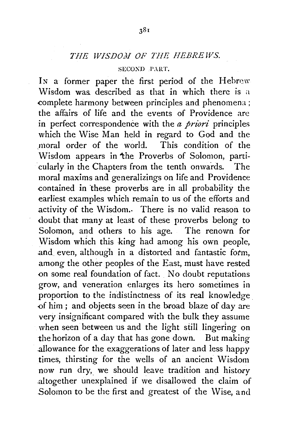## SECOXD PART.

In a former paper the first period of the Hebrew Wisdom was. described as that in which there is a complete harmony between principles and phenomena ; the affairs of life and the events of Providence are in perfect correspondence with the *a priori* principles which the Wise Man held in regard to God and the .moral order of the world. This condition of the Wisdom appears in the Proverbs of Solomon, particularly in the Chapters from the tenth onwards. The moral maxims and generalizings on life and Providence contained in these proverbs are in all probability the earliest examples which remain to us of the efforts and activity of the Wisdom.. There is no valid reason to doubt that many at least of these proverbs belong to Solomon, and others to his age. The renown for Wisdom which this king had among his own people, and even, although in a distorted and fantastic fotm, among the other peoples of the East, must have rested -on some real foundation of fact. No doubt reputations grow, and veneration enlarges its hero sometimes in proportion to the indistinctness of its real knowledge -of him ; and objects seen in the broad blaze of day are very insignificant compared with the bulk they assume when seen between us and the light still lingering on the horizon of a day that has gone down. But making allowance for the exaggerations of later and less happy times, thirsting for the wells of an ancient Wisdom now run dry, we should leave tradition and history altogether unexplained if we disallowed the claim of Solomon to be the first and greatest of the Wise, and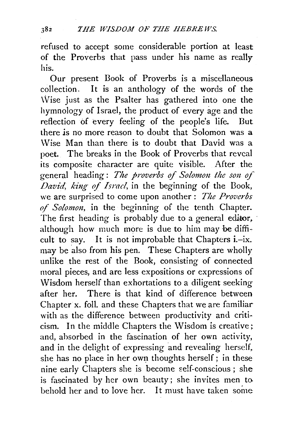refused to accept some considerable portion at least of the Proverbs that pass under his name as really his.

Our present Book of Proverbs is a miscellaneous collection, It is an anthology of the words of the Wise just as the Psalter has gathered into one the hymnology of Israel, the product of every age and the reflection of every feeling of the people's life. But there js no more reason to doubt that Solomon was a Wise Man than there is to doubt that David was a poet. The breaks in the Book of Proverbs that reveal its composite character are quite visible. After the general heading: The proverbs of Solomon the son of *David, king of Israel*, in the beginning of the Book, we are surprised to come upon another : *The Proverbs of Solomon,* in the beginning of the tenth Chapter. The first heading is probably due to a general editor, although how much more is due to him may be difficult to say. It is not improbable that Chapters i.-ix. may be also from his pen. These Chapters are wholly unlike the rest of the Book, consisting of connected moral pieces, and are less expositions or expressions of 'Wisdom herself than exhortations to a diligent seeking after her. There is that kind of difference between Chapter x. foil. and these Chapters that we are familiar with as the difference between productivity and criticism. In the middle Chapters the Wisdom is creative; and, absorbed in the fascination of her own activity, and in the delight of expressing and revealing herself, she has no place in her own thoughts herself; in these nine early Chapters she is become self-conscious; she is fascinated by her own beauty; she invites men to. behold her and to love her. It must have taken some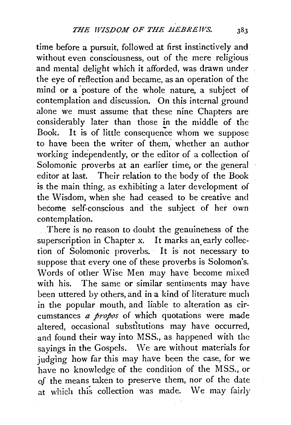time before a pursuit, followed at first instinctively and without even consciousness, out of the mere religious and mental delight which it afforded, was drawn under the eye of reflection arid became, as an operation of the mind or a posture of the whole nature, a subject of contemplation and discussion. On this internal ground alone we must assume that these nine Chapters are considerably later than those in the middle of the Book. It is of little consequence whom we suppose to have been the writer of them, whether an author working independently, or the editor of a collection of Solomonic proverbs at an earlier time, or the general editor at last. Their relation to the body of the Book is the main thing, as exhibiting a later development of the Wisdom, when she had ceased to be creative and become self-conscious and the subject of her own contemplation.

There is no reason to doubt the genuineness of the superscription in Chapter x. It marks an early collection of Solomonic proverbs. It is not necessary to suppose that every one of these proverbs is Solomon's. Words of other Wise Men may have become mixed with his. The same or similar sentiments may have been uttered by others, and in a kind of literature much in the popular mouth, and liable to alteration as circumstances *a propos* of which quotations were made altered, occasional substitutions may have occurred, and found their way into MSS., as happened with the sayings in the Gospels. We are without materials for judging how far this may have been the case, for we have no knowledge of the condition of the MSS., or of the means taken to preserve them, nor of the date at which this collection was made. We may fairly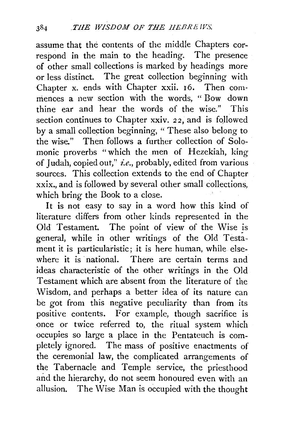assume that the contents of the middle Chapters correspond in the main to the heading. The presence of other small collections is marked by headings more or less distinct. The great collection beginning with Chapter x. ends with Chapter xxii. 16. Then commences a new section with the words, " Bow down thine ear and hear the words of the wise." This section continues to Chapter xxiv. *22,* and is followed by a small collection beginning, " These also belong to the wise." Then follows a further collection of Solomanic proverbs "which the men of Hezekiah, king of Judah, copied out," *i.e.*, probably, edited from various sources. This collection extends to the end of Chapter xxix., and is followed by several other small collections, which bring the Book to a close.

It is not easy to say in a word how this kind of literature differs from other kinds represented in the Old Testament. The point of view of the Wise is general, while in other writings of the Old Testament it is particularistic; it is here human, while elsewhere it is national. There are certain terms and ideas characteristic of the other writings in the Old Testament which are absent from the literature of the Wisdom, and perhaps a better idea of its nature can be got from this negative peculiarity than from its positive contents. For example, though sacrifice is once or twice referred to, the ritual system which occupies so large a place in the Pentateuch is completely ignored. The mass of positive enactments of the ceremonial law, the complicated arrangements of the Tabernacle and Temple service, the priesthood and the hierarchy, do not seem honoured even with an allusion. The Wise Man is occupied with the thought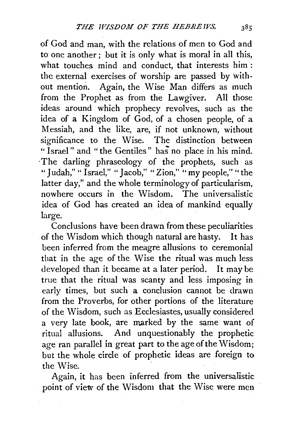of God and man, with the relations of men to God and to one another; but it is only what is moral in all this, what touches mind and conduct, that interests him : the external exercises of worship are passed by without mention. Again, the Wise Man differs as much from the Prophet as from the Lawgiver. All those ideas around which prophecy revolves, such as the idea of a Kingdom of God, of a chosen people, of a Messiah, and the like, are, if not unknown, without significance to the Wise. The distinction between " Israel" and "the Gentiles" has no place in his mind. ·The darling phraseology of the prophets, such as "Judah," "Israel," "Jacob," "Zion," "my people," "the latter day," and the whole terminology of particularism, nowhere occurs in the Wisdom. The universalistic idea of God has created an idea of mankind equally large.

Conclusions have been drawn from these peculiarities of the Wisdom which though natural are hasty. It has been inferred from the meagre allusions to ceremonial that in the age of the Wise the ritual was much less developed than it became at a later period. It may be true that the ritual was scanty and less imposing in early times, but such a conclusion cannot be drawn from the Proverbs, for other portions of the literature of the Wisdom, such as Ecclesiastes, usually considered a very late book, are marked by the same want of ritual allusions. And unquestionably the prophetic age ran parallel in great part to the age of the Wisdom; but the whole circle of prophetic ideas are foreign to the Wise.

Again, it has been inferred from the universalistic point of view of the Wisdom that the Wise were men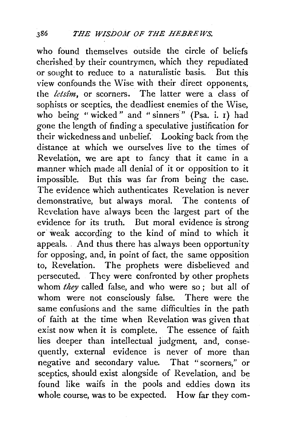who found themselves outside the circle of beliefs cherished by their countrymen, which they repudiated or sought to reduce to a naturalistic basis. But this view confounds the Wise with their direct opponents, the *letsim*, or scorners. The latter were a class of sophists or sceptics, the deadliest enemies of the Wise, who being "wicked" and "sinners" (Psa. i. 1) had gone the length of finding a speculative justification for their wickedness and unbelief. Looking back from the distance at which we ourselves live to the times of Revelation, we are apt to fancy that it came in a manner which made all denial of it or opposition to it impossible. But this was far from being the case. The evidence which authenticates Revelation is never demonstrative, but always moral. The contents of Revelation have always been the largest part of the evidence for its truth. But moral evidence is strong or weak according to the kind of mind to which it appeals. And thus there has always been opportunity for opposing, and, in point of fact, the same opposition to, Revelation. The prophets were disbelieved and persecuted. They were confronted by other prophets whom *they* called false, and who were so; but all of whom were not consciously false. There were the same confusions and the same difficulties in the path of faith at the time when Revelation was given that exist now when it is complete. The essence of faith lies deeper than intellectual judgment, and, consequently, external evidence is never of more than negative and secondary value. That "scorners," or sceptics, should exist alongside of Revelation, and be found like waifs in the pools and eddies down its whole course, was to be expected. How far they com-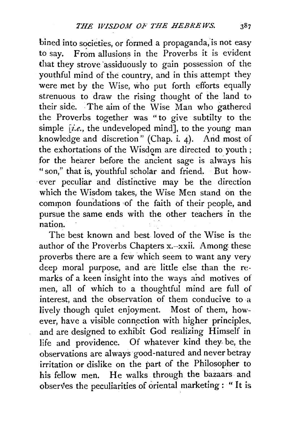bined into societies, or formed a propaganda, is not easy to say. From allusions in the Proverbs it is evident that they strove 'assiduously to gain possession of the youthful mind of the country, and in this attempt they were met by the Wise, who put forth efforts equally strenuous to draw the rising thought of the land to their side. The aim of the Wise Man who gathered the Proverbs together was "to give subtilty to the simple  $[i.e., the undeveloped mind]$ , to the young man knowledge and discretion" (Chap. i. 4). And most of the exhortations of the Wisdom are directed to youth ; for the hearer before the ancient sage is always his "son," that is, youthful scholar and friend. But how-. ever peculiar and distinctive may be the direction which the Wisdom takes, the Wise Men stand on the common foundations of the faith of their people, and pursue the same ends with the other teachers in the nation.

The best known and best loved of the Wise is the author of the Proverbs Chapters x.-xxii. Among: these proverbs there are a few which seem to want any very deep moral purpose, and are little else than the remarks of a keen insight into the ways and motives of men, a11 of which to a thoughtful mind are full of interest, and the observation of them conducive to a lively though quiet enjoyment. Most of them, however, have a visible connection with higher principles, and are designed to exhibit God realizing Himself in life and providence. Of whatever kind they be, the observations are always good-natured and never betray irritation or dislike on the part of the Philosopher to his fellow men. He walks through the bazaars and observes the peculiarities of oriental marketing : " It is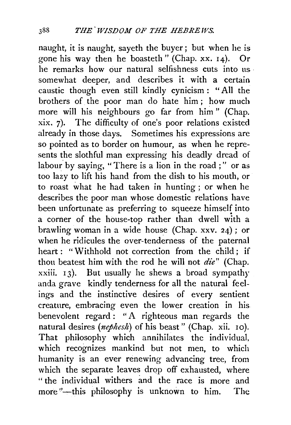naught, it is naught, sayeth the buyer; but when he is gone his way then he boasteth" (Chap. xx. 14). Or he remarks how our natural selfishness cuts into us somewhat deeper, and describes it with a certain caustic though even still kindly cynicism : " All the brothers of the poor man do hate him ; how much more will his neighbours go far from him " (Chap. xix. 7). The difficulty of one's poor relations existed already in those days. Sometimes his expressions are so pointed as to border on humour, as when he represents the slothful man expressing his deadly dread of labour by saying, "There is a lion in the road ;" or as too lazy to lift his hand from the dish to his mouth, or to roast what he had taken in hunting; or when he describes the poor man whose domestic relations have been unfortunate as preferring to squeeze himself into a corner of the house-top rather than dwell with a brawling woman in a wide house (Chap. xxv. 24); or when he ridicules the over-tenderness of the paternal heart: "Withhold not correction from the child: if thou beatest him with the rod he will not *die"* (Chap.  $xxiii. 13$ ). But usually he shews a broad sympathy anda grave kindly tenderness for all the natural feelings and the instinctive desires of every sentient creature, embracing even the lower creation in his benevolent regard: "A righteous man regards the natural desires *(nephesh)* of his beast" (Chap. xii. 10). That philosophy which annihilates the individual, which recognizes mankind but not men, to which humanity is an ever renewing advancing tree, from which the separate leaves drop off exhausted, where " the individual withers and the race is more and more "--this philosophy is unknown to him. The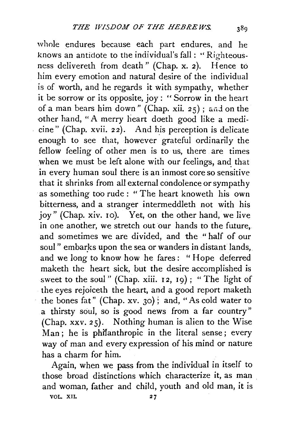whole endures because each part endures, and he knows an antidote to the individual's fall: ''Righteousness delivereth from death" (Chap. x. 2). Hence to him every emotion and natural desire of the individual is of worth, and he regards it with sympathy, whether it be sorrow or its opposite, joy : " Sorrow in the heart of a man bears him down" (Chap. xii.  $25$ ); and on the other hand, "A merry heart doeth good like a medicine" (Chap. xvii. 22). And h\_is perception is delicate enough to see that, however grateful ordinarily the fellow feeling of other men is to us, there are times when we must be left alone with our feelings, and that in every human soul there is an inmost core so sensitive that it shrinks from all external condolence or sympathy ·as something too rude : " The heart knoweth his own bitterness, and a stranger intermeddleth not with his joy" (Chap. xiv. 10). Yet, on the other hand, we live in one another, we stretch out our hands to the future, and sometimes we are divided, and the " half of our soul" embarks upon the sea or wanders in distant lands, and we long to know how he fares: "Hope deferred maketh the heart sick, but the desire accomplished is sweet to the soul" (Chap. xiii. 12, 19); "The light of the eyes rejoiceth the heart, and a good report maketh the bones fat" (Chap. xv. 30); and, "As cold water to a thirsty soul, so is good news from a far country" (Chap. xxv. 25). Nothing human is alien to the Wise Man ; he is phifanthropic in the literal sense; every way of man and every expression of his mind or nature has a charm for him.

Again, when we pass from the individual in itself to those broad distinctions which characterize it, as man and woman, father and child, youth and old man, it is

VOL. XII.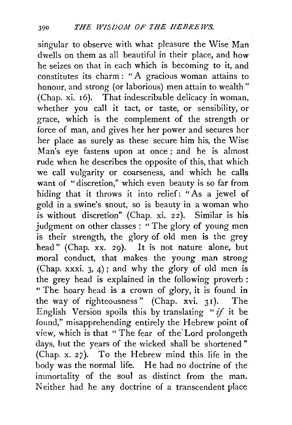singular to observe with what pleasure the Wise Man dwells on them as all beautiful in their place, and how he seizes on that in each which is becoming to it, and constitutes its charm : " A gracious woman attains to honour, and strong (or laborious) men attain to wealth" (Chap. xi. 16). That indescribable delicacy in woman, whether you call it tact, or taste, or sensibility, or grace, which is the complement of the strength or force of man, and gives her her power and secures her her place as surely as these secure him his, the Wise Man's eye fastens upon at once ; and he is almost rude when he describes the opposite of this, that which we call vulgarity or coarseness, and which he calls want of "discretion," which even beauty is so far from hiding that it throws it into relief: "As a jewel of gold in a swine's snout, so is beauty in a woman who is without discretion" (Chap. xi. 22). Similar is his judgment on other classes : " The glory of young men is their strength, the glory of old men is the grey head" (Chap. xx. 29). It is not nature alone, but moral conduct, that makes the young man strong (Chap. xxxi. 3, 4); and why the glory of old men is the grey head is explained in the following proverb : " The hoary head is a crown of glory, it is found in the way of righteousness" (Chap. xvi.  $31$ ). The English Version spoils this by translating *"if* it be found," misapprehending entirely the Hebrew point of view, which is that "The fear of the Lord prolongeth days, but the years of the wicked shall be shortened" (Chap. x. 27). To the Hebrew mind this life in the body was the normal life. He had no doctrine of the immortality of the soul as distinct from the man. Neither had he any doctrine of a transcendent place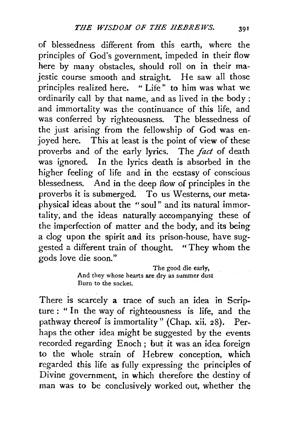of blessedness different from this earth, where the principles of God's government, impeded in their flow here by many obstacles, should roll on in their majestic course smooth and straight. He saw all those principles realized here. " Life" to him was what we ordinarily call by that name, and as lived in the body; and immortality was the continuance of this life, and was conferred by righteousness. The blessedness of the just arising from the fellowship of God was enjoyed here. This at least is the point of view of these proverbs and of the early lyrics. The *fact* of death was ignored. In the lyrics death is absorbed in the higher feeling of life and in the ecstasy of conscious blessedness. And in the deep flow of principles in the proverbs it is submerged. To us Westerns, our metaphysical ideas about the "soul" and its natural immortality, and the ideas naturally accompanying these of the imperfection of matter and the body, and its being a clog upon the spirit and its prison-house, have suggested a different train of thought. " They whom the gods love die soon."

> The good die early, And they whose hearts are dry as summer dust Burn to the socket.

There is scarcely a trace of such an idea in Scripture : " In the way of righteousness is life, and the pathway thereof is immortality" (Chap. xii. 28). Perhaps the other idea might be suggested by the events recorded regarding Enoch ; but it was an idea foreign to the whole strain of Hebrew conception, which regarded this life as fully expressing the principles of Divine government, in which therefore the destiny of man was to be conclusively worked out, whether the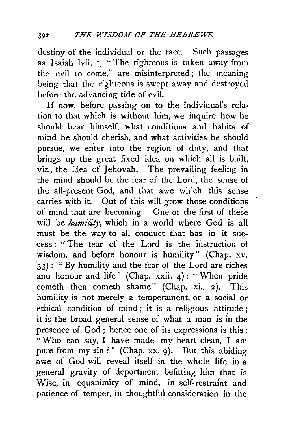destiny of the individual or the race. Such passages as Isaiah lvii. r, "The righteous is taken away from the evil to come," are misinterpreted ; the meaning being that the righteous is swept away and destroyed before the advancing tide of evil.

If now, before passing on to the individual's relation to that which is without him, we inquire how he should bear himself, what conditions and habits of mind he should cherish, and what activities he should pursue, we enter into the region of duty, and that brings up the great fixed idea on which all is built,  $viz.$ , the idea of Jehovah. The prevailing feeling in the mind should be the fear of the Lord, the sense of the all-present God, and that awe which this sense carries with it. Out of this will grow those conditions of mind that are becoming. One of the first of these will be *humility*, which in a world where God is all must be the way to all conduct that has in it success : " The fear of the Lord is the instruction of wisdom, and before honour is humility" (Chap. xv. 33) : "By humility and the fear of the Lord are riches and honour and life" (Chap.  $xxii$ . 4): "When pride cometh then cometh shame" (Chap. xi. 2). This humility is not merely a temperament, or a social or ethical condition of mind ; it is a religious attitude ; it is the broad general sense of what a man is in the presence of God; hence one of its expressions is this: "Who can say, I have made my heart clean, I am pure from my sin ?" (Chap. xx. 9). But this abiding awe of God will reveal itself in the whole life in a general gravity of deportment befitting him that is Wise, in equanimity of mind, in self-restraint and patience of temper, in thoughtful consideration in the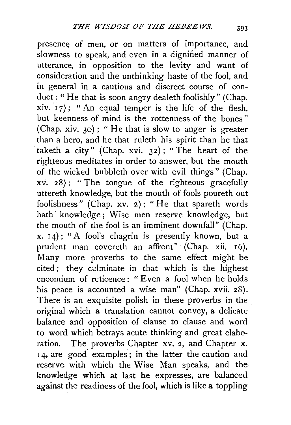presence of men, or on matters of importance, and slowness to speak, and even in a dignified manner of utterance, in opposition to the levity and want of consideration and the unthinking haste of the fool, and in general in a cautious and discreet course of conduct: "He that is soon angry dealeth foolishly" (Chap.  $xiv. 17$ ); " An equal temper is the life of the flesh, but keenness of mind is the rottenness of the bones " (Chap. xiv. 30) ; " He that is slow to anger is greater than a hero, and he that ruleth his spirit than he that taketh a city" (Chap. xvi. 32) ; "The heart of the righteous meditates in order to answer, but the mouth of the wicked bubbleth over with evil things" (Chap. xv. 28); "The tongue of the righteous gracefully uttereth knowledge, but the mouth of fools poureth out foolishness" (Chap. xv. 2); "He that spareth words hath knowledge; Wise men reserve knowledge, but the mouth of the fool is an imminent downfall" (Chap.  $x. 14$ ); "A fool's chagrin is presently known, but a prudent man covereth an affront" (Chap. xii. 16). Many more proverbs to the same effect might be cited ; they culminate in that which is the highest encomium of reticence: "Even a fool when he holds his peace is accounted a wise man" (Chap. xvii. 28). There is an exquisite polish in these proverbs in the original which a translation cannot convey, a delicate balance and opposition of clause to clause and word to word which betrays acute thinking and great elaboration. The proverbs Chapter *xv.* 2, and Chapter x. 14, are good examples; in the latter the caution and reserve with which the Wise Man speaks, and the knowledge which at last he expresses, are balanced against the readiness of the fool, which is like a toppling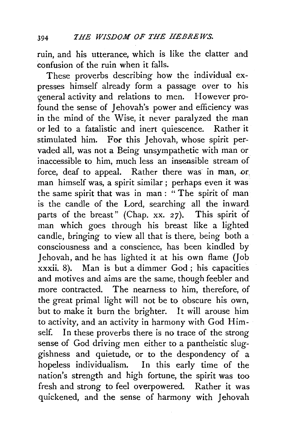ruin, and his utterance, which is like the clatter and confusion of the ruin when it falls.

These proverbs describing how the individual expresses himself already form a passage over to his general activity and relations to men. However profound the sense of Jehovah's power and efficiency was in the mind of the Wise, it never paralyzed the man or led to a fatalistic and inert quiescence. Rather it stimulated him. For this Jehovah, whose spirit pervaded all, was not a Being unsympathetic with man or inaccessible to him, much less an insensible stream of force, deaf to appeal. Rather there was in man, or. man himself was, a spirit similar; perhaps even it was the same spirit that was in man : " The spirit of man is the candle of the Lord, searching all the inward parts of the breast" (Chap. xx. 27). This spirit of man which goes through his breast like a lighted candle, bringing to view all that is there, being both a consciousness and a conscience, has been kindled by Jehovah, and he has lighted it at his own flame (Job  $xxxii$ , 8). Man is but a dimmer  $God$ ; his capacities and motives and aims are the same, though feebler and more contracted. The nearness to him, therefore, of the great primal light will not be to obscure his own, but to make it burn the brighter. It will arouse him to activity, and an activity in harmony with God Himself. In these proverbs there is no trace of the strong sense of God driving men either to a pantheistic sluggishness and quietude, or to the despondency of a hopeless individualism. In this early time of the nation's strength and high fortune, the spirit was too fresh and strong to feel overpowered. Rather it was quickened, and the sense of harmony with Jehovah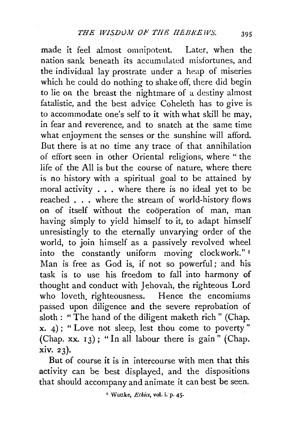made it feel almost omnipotent. Later, when the nation sank beneath its accumulated misfortunes, and the individual lay prostrate under a heap of miseries which he could do nothing to shake off, there did begin to lie on the breast the nightmare of a.destiny almost fatalistic, and the best advice Coheleth has to give is to accommodate one's self to it with what skill he may, in fear and reverence, and to snatch at the same time what enjoyment the senses or the sunshine will afford. But there is at no time any trace of that annihilation of effort seen in other Oriental religions, where " the life of the All is but the course of nature, where there is no history with a spiritual goal to be attained by moral activity ... where there is no ideal yet to be reached . . . where the stream of world-history flows on of itself without the cooperation of man, man having simply to yield himself to it, to adapt himself unresistingly to the eternally unvarying order of the world, to join himself as a passively revolved wheel into the constantly uniform moving clockwork." 1 Man is free as God is, if not so powerful; and his task is to use his freedom to fall into harmony of thought and conduct with Jehovah, the righteous Lord who loveth. righteousness. Hence the encomiums passed upon diligence and the severe reprobation of sloth : " The hand of the diligent maketh rich " (Chap.  $x. 4$ ); "Love not sleep, lest thou come to poverty" (Chap. xx.  $13$ ); "In all labour there is gain" (Chap. xiv. 23).

But of course it is in intercourse with men that this activity can be best displayed, and the dispositions that should accompany and animate it can best be seen.

<sup>&#</sup>x27; Wuttke, *Etkics,* vol. i. p. 45·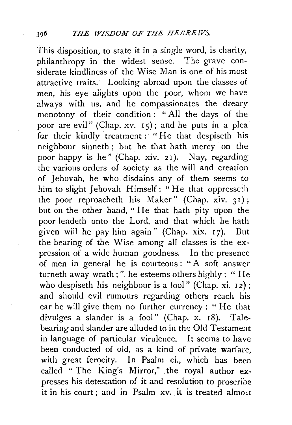This disposition, to state it in a single word, is charity, philanthropy in the widest sense. The grave considerate kindliness of the Wise Man is one of his most attractive traits. Looking abroad upon the classes of men, his eye alights upon the poor, whom we have always with us, and he compassionates the dreary monotony of their condition : " All the days of the poor are evil" (Chap. xv.  $15$ ); and he puts in a plea for their kindly treatment: "He that despiseth his neighbour sinneth ; but he that hath mercy on the poor happy is he" (Chap. xiv. 2I). Nay, regarding the various orders of society as the will and creation of Jehovah, he who disdains any of them seems to him to slight Jehovah Himself: "He that oppresseth the poor reproacheth his Maker" (Chap. xiv. *3* I) ; but on the other hand, " He that hath pity upon the poor lendeth unto the Lord, and that which he hath given will he pay him again" (Chap. xix.  $17$ ). But the bearing of the Wise among all classes is the expression of a wide human goodness. In the presence of men in general he is courteous : "A soft answer turneth away wrath;" he esteems others highly : " He who despiseth his neighbour is a fool" (Chap. xi. 12); and should evil rumours regarding others reach his ear he will give them no further currency : " He that divulges a slander is a fool" (Chap. x. 18). Talebearing and slander are alluded to in the Old Testament in language of particular virulence. It seems to have been conducted of old, as a kind of private warfare, with great ferocity. In Psalm ci., which has been called " The King's Mirror," the royal author expresses his detestation of it and resolution to proscribe it in his court; and in Psalm xv, it is treated almost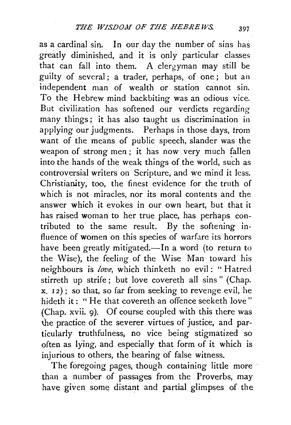as a cardinal sin. In our day the number of sins has greatly diminished, and it is only particular classes that can fall into them. A clergyman may still be guilty of several; a trader, perhaps, of one; but an independent man of wealth or station cannot sin. To the Hebrew mind backbiting was an odious vice. But civilization has softened our verdicts regarding many things; it has also taught us discrimination in applying our judgments. Perhaps in those days, trom want of the means of public speech, slander was the weapon of strong men ; it has now very much fallen into the hands of the weak things of the world, such as controversial writers on Scripture, and we mind it less. Christianity, too, the finest evidence for the truth of which is not miracles, nor its moral contents and the answer which it evokes in our own heart, but that it has raised woman to her true place, has perhaps contributed to the same result. By the softening influence of women on this species of warfare its horrors have been greatly mitigated.-In a word (to return to the Wise), the feeling of the Wise Man toward his neighbours is *love,* which thinketh no evil: " Hatred stirreth up strife; but love covereth all sins " (Chap.  $x, 12$ ; so that, so far from seeking to revenge evil, he hideth it: "He that covereth an offence seeketh love" (Chap. xvii. 9). Of course coupled with this there was the practice of the severer virtues of justice, and particularly truthfulness, no vice being stigmatized so often as lying, and especially that form of it which is injurious to others, the bearing of false witness.

The foregoing pages, though containing little more than a number of passages from the Proverbs, may have given some distant and partial glimpses of the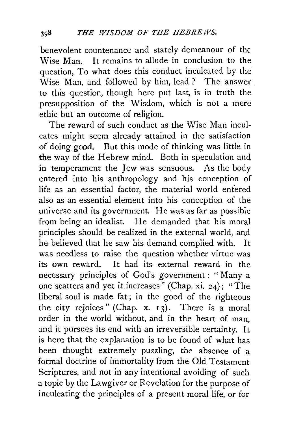benevolent countenance and stately demeanour of the \Vise Man. It remains to allude in conclusion to the question, To what does this conduct inculcated by the Wise Man, and followed by him, lead ? The answer to this question, though here put last, is in truth the presupposition of the Wisdom, which is not a mere ethic but an outcome of religion.

The reward of such conduct as the Wise Man inculcates might seem already attained in the satisfaction of doing good. But this mode of thinking was little in the way of the Hebrew mind. Both in speculation and in temperament the Jew was sensuous. As the body entered into his anthropology and his conception of life as an essential factor, the material world entered also as an essential element into his conception of the universe and its government. He was as far as possible from being an idealist. He demanded that his moral principles should be realized in the external world, and he believed that he saw his demand complied with. It was needless to raise the question whether virtue was its own reward. It had its external reward in the necessary principles of God's government: "Many a one scatters and yet it increases" (Chap. xi. 24) ; "The liberal soul is made fat ; in the good of the righteous the city rejoices" (Chap.  $x. 13$ ). There is a moral order in the world without, and in the heart of man, and it pursues its end with an irreversible certainty. It is here that the explanation is to be found of what has been thought extremely puzzling, the absence of a formal doctrine of immortality from the Old Testament Scriptures, and not in any intentional avoiding of such a topic by the Lawgiver or Revelation for the purpose of inculcating the principles of a present moral life, or for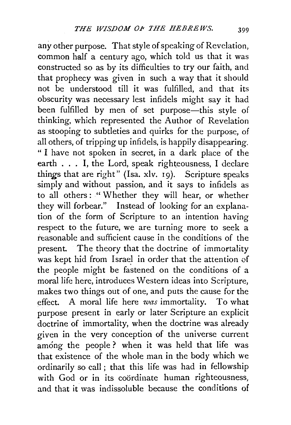any other purpose. That style of speaking of Revelation, common half a century ago, which told us that it was constructed so as by its difficulties to try our faith, and that prophecy was given in such a way that it should not be understood till it was fulfilled, and that its obscurity was necessary lest infidels might say it had been fulfilled by men of set purpose—this style of thinking, which represented the Author of Revelation as stooping to subtleties and quirks for the purpose, of all others, of tripping up infidels, is happily disappearing. " I have not spoken in secret, in a dark place of the earth  $\dots$  I, the Lord, speak righteousness, I declare things that are right" (lsa. xlv. 19). Scripture speaks simply and without passion, and it says to infidels as to all others : '' Whether they will hear, or whether they will forbear." Instead of looking for an explanation of the form of Scripture to an intention having respect to the future, we are turning more to seek a reasonable and sufficient cause in the conditions of the present. The theory that the doctrine of immortality was kept hid from Israel in order that the attention of the people might be fastened on the conditions of a moral life here, introduces Western ideas into Scripture, makes two things out of one, and puts the cause for the effect. A moral life here *was* immortality. To what purpose present in early or later Scripture an explicit doctrine of immortality, when the doctrine was already given in the very conception of the universe current among the people? when it was held that life was that existence of the whole man in the body which we ordinarily so call; that this life was had in fellowship with God or in its coordinate human righteousness, and that it was indissoluble because the conditions of